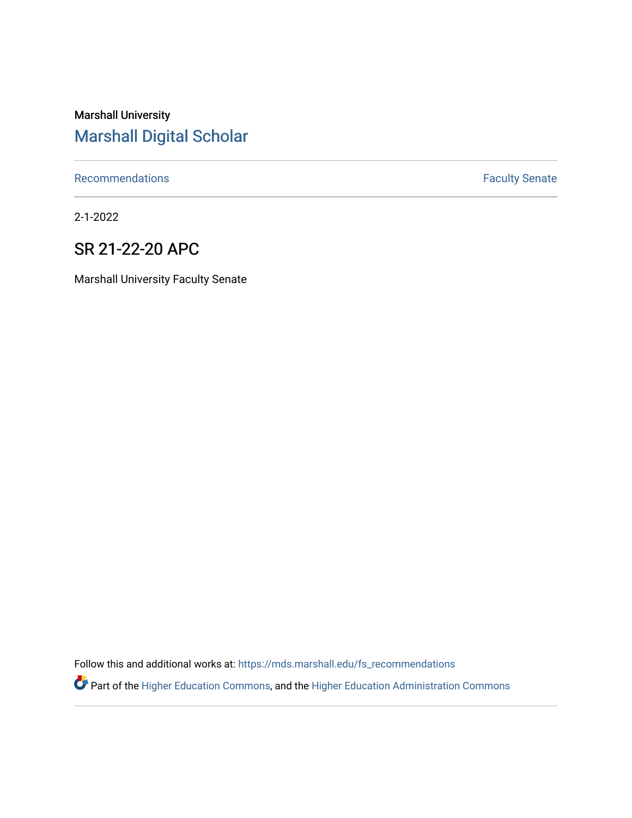# Marshall University [Marshall Digital Scholar](https://mds.marshall.edu/)

[Recommendations](https://mds.marshall.edu/fs_recommendations) **Faculty** Senate

2-1-2022

## SR 21-22-20 APC

Marshall University Faculty Senate

Follow this and additional works at: [https://mds.marshall.edu/fs\\_recommendations](https://mds.marshall.edu/fs_recommendations?utm_source=mds.marshall.edu%2Ffs_recommendations%2F2007&utm_medium=PDF&utm_campaign=PDFCoverPages)

Part of the [Higher Education Commons,](http://network.bepress.com/hgg/discipline/1245?utm_source=mds.marshall.edu%2Ffs_recommendations%2F2007&utm_medium=PDF&utm_campaign=PDFCoverPages) and the [Higher Education Administration Commons](http://network.bepress.com/hgg/discipline/791?utm_source=mds.marshall.edu%2Ffs_recommendations%2F2007&utm_medium=PDF&utm_campaign=PDFCoverPages)